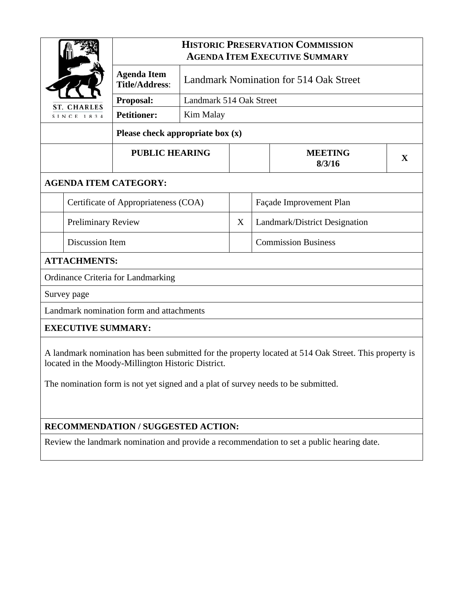|                                                                                                       |                                             | <b>HISTORIC PRESERVATION COMMISSION</b><br><b>AGENDA ITEM EXECUTIVE SUMMARY</b> |                               |                          |   |  |
|-------------------------------------------------------------------------------------------------------|---------------------------------------------|---------------------------------------------------------------------------------|-------------------------------|--------------------------|---|--|
|                                                                                                       | <b>Agenda Item</b><br><b>Title/Address:</b> | <b>Landmark Nomination for 514 Oak Street</b>                                   |                               |                          |   |  |
| <b>ST. CHARLES</b>                                                                                    | Proposal:                                   | Landmark 514 Oak Street                                                         |                               |                          |   |  |
| SINCE 1834                                                                                            | <b>Petitioner:</b>                          | Kim Malay                                                                       |                               |                          |   |  |
|                                                                                                       |                                             | Please check appropriate box $(x)$                                              |                               |                          |   |  |
| <b>PUBLIC HEARING</b>                                                                                 |                                             |                                                                                 |                               | <b>MEETING</b><br>8/3/16 | X |  |
|                                                                                                       | <b>AGENDA ITEM CATEGORY:</b>                |                                                                                 |                               |                          |   |  |
| Certificate of Appropriateness (COA)                                                                  |                                             |                                                                                 | Façade Improvement Plan       |                          |   |  |
| <b>Preliminary Review</b>                                                                             |                                             | X                                                                               | Landmark/District Designation |                          |   |  |
| Discussion Item                                                                                       |                                             |                                                                                 | <b>Commission Business</b>    |                          |   |  |
| <b>ATTACHMENTS:</b>                                                                                   |                                             |                                                                                 |                               |                          |   |  |
| Ordinance Criteria for Landmarking                                                                    |                                             |                                                                                 |                               |                          |   |  |
| Survey page                                                                                           |                                             |                                                                                 |                               |                          |   |  |
| Landmark nomination form and attachments                                                              |                                             |                                                                                 |                               |                          |   |  |
| <b>EXECUTIVE SUMMARY:</b>                                                                             |                                             |                                                                                 |                               |                          |   |  |
| A landmark nomination has been submitted for the property located at 514 Oak Street. This property is |                                             |                                                                                 |                               |                          |   |  |

indmark nomination has been submitted for the property located at 514 Oak Street. This property is located in the Moody-Millington Historic District.

The nomination form is not yet signed and a plat of survey needs to be submitted.

## **RECOMMENDATION / SUGGESTED ACTION:**

Review the landmark nomination and provide a recommendation to set a public hearing date.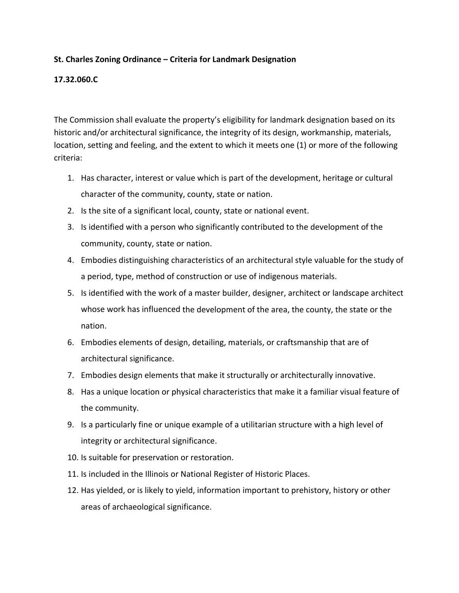## **St. Charles Zoning Ordinance – Criteria for Landmark Designation**

### **17.32.060.C**

The Commission shall evaluate the property's eligibility for landmark designation based on its historic and/or architectural significance, the integrity of its design, workmanship, materials, location, setting and feeling, and the extent to which it meets one (1) or more of the following criteria:

- 1. Has character, interest or value which is part of the development, heritage or cultural character of the community, county, state or nation.
- 2. Is the site of a significant local, county, state or national event.
- 3. Is identified with a person who significantly contributed to the development of the community, county, state or nation.
- 4. Embodies distinguishing characteristics of an architectural style valuable for the study of a period, type, method of construction or use of indigenous materials.
- 5. Is identified with the work of a master builder, designer, architect or landscape architect whose work has influenced the development of the area, the county, the state or the nation.
- 6. Embodies elements of design, detailing, materials, or craftsmanship that are of architectural significance.
- 7. Embodies design elements that make it structurally or architecturally innovative.
- 8. Has a unique location or physical characteristics that make it a familiar visual feature of the community.
- 9. Is a particularly fine or unique example of a utilitarian structure with a high level of integrity or architectural significance.
- 10. Is suitable for preservation or restoration.
- 11. Is included in the Illinois or National Register of Historic Places.
- 12. Has yielded, or is likely to yield, information important to prehistory, history or other areas of archaeological significance.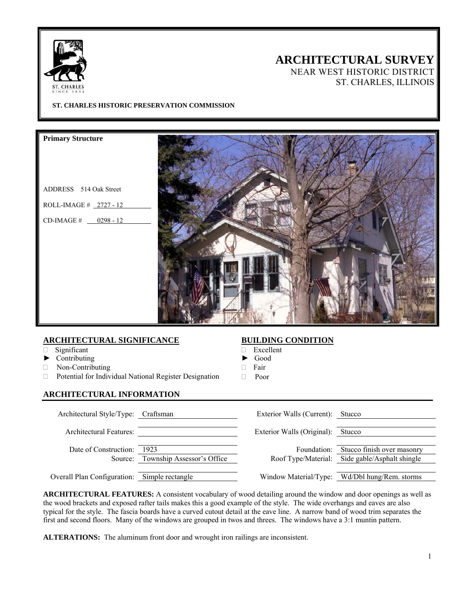

# **ARCHITECTURAL SURVEY**

NEAR WEST HISTORIC DISTRICT ST. CHARLES, ILLINOIS

### **ST. CHARLES HISTORIC PRESERVATION COMMISSION**

**Primary Structure** 

- ADDRESS 514 Oak Street
- ROLL-IMAGE # 2727 12
- $CD$ -IMAGE  $\#$  0298 12



### **ARCHITECTURAL SIGNIFICANCE**

- Significant
- ► Contributing
- Non-Contributing
- Potential for Individual National Register Designation

### **ARCHITECTURAL INFORMATION**

### **BUILDING CONDITION**

- Excellent
- ► Good
- Fair
- Poor

| Architectural Style/Type: Craftsman          |                                    | Exterior Walls (Current): Stucco |                                                                              |
|----------------------------------------------|------------------------------------|----------------------------------|------------------------------------------------------------------------------|
| Architectural Features:                      |                                    | Exterior Walls (Original):       | Stucco                                                                       |
| Date of Construction:<br>Source:             | 1923<br>Township Assessor's Office | Foundation:                      | Stucco finish over masonry<br>Roof Type/Material: Side gable/Asphalt shingle |
| Overall Plan Configuration: Simple rectangle |                                    |                                  | Window Material/Type: Wd/Dbl hung/Rem. storms                                |

**ARCHITECTURAL FEATURES:** A consistent vocabulary of wood detailing around the window and door openings as well as the wood brackets and exposed rafter tails makes this a good example of the style. The wide overhangs and eaves are also typical for the style. The fascia boards have a curved cutout detail at the eave line. A narrow band of wood trim separates the first and second floors. Many of the windows are grouped in twos and threes. The windows have a 3:1 muntin pattern.

**ALTERATIONS:** The aluminum front door and wrought iron railings are inconsistent.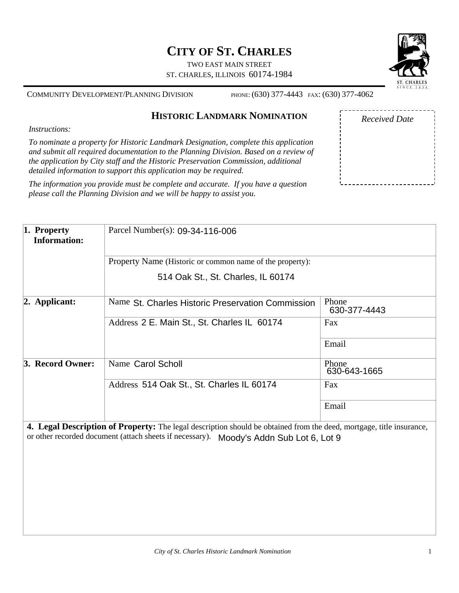# **CITY OF ST. CHARLES**

TWO EAST MAIN STREET ST. CHARLES, ILLINOIS 60174-1984



COMMUNITY DEVELOPMENT/PLANNING DIVISION PHONE: (630) 377-4443 FAX: (630) 377-4062

# **HISTORIC LANDMARK NOMINATION**

*Instructions:* 

*To nominate a property for Historic Landmark Designation, complete this application and submit all required documentation to the Planning Division. Based on a review of the application by City staff and the Historic Preservation Commission, additional detailed information to support this application may be required.* 

*The information you provide must be complete and accurate. If you have a question please call the Planning Division and we will be happy to assist you.*

| <b>Received Date</b> |  |
|----------------------|--|
|                      |  |
|                      |  |
|                      |  |
|                      |  |
|                      |  |
|                      |  |
|                      |  |
|                      |  |

| $\vert$ 1. Property<br><b>Information:</b> | Parcel Number(s): 09-34-116-006                                                                                             |                       |  |  |
|--------------------------------------------|-----------------------------------------------------------------------------------------------------------------------------|-----------------------|--|--|
|                                            | Property Name (Historic or common name of the property):                                                                    |                       |  |  |
|                                            | 514 Oak St., St. Charles, IL 60174                                                                                          |                       |  |  |
| $ 2.$ Applicant:                           | Name St. Charles Historic Preservation Commission                                                                           | Phone<br>630-377-4443 |  |  |
|                                            | Address 2 E. Main St., St. Charles IL 60174                                                                                 | Fax                   |  |  |
|                                            |                                                                                                                             | Email                 |  |  |
| 3. Record Owner:                           | Name Carol Scholl                                                                                                           | Phone<br>630-643-1665 |  |  |
|                                            | Address 514 Oak St., St. Charles IL 60174                                                                                   | Fax                   |  |  |
|                                            |                                                                                                                             | Email                 |  |  |
|                                            | <b>4. Legal Description of Property:</b> The legal description should be obtained from the deed, mortgage, title insurance, |                       |  |  |

or other recorded document (attach sheets if necessary). Moody's Addn Sub Lot 6, Lot 9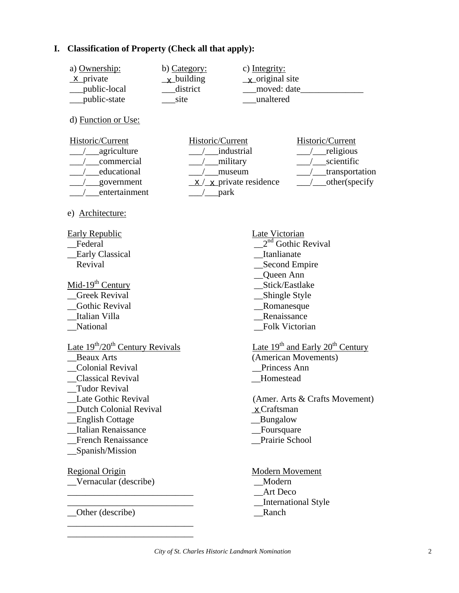## **I. Classification of Property (Check all that apply):**

| a) Ownership:                           | b) Category:      | c) Integrity:                        |                                      |
|-----------------------------------------|-------------------|--------------------------------------|--------------------------------------|
| x private                               | <u>x</u> building | $\frac{\mathbf{x}}{ }$ original site |                                      |
| public-local                            | district          |                                      | moved: date                          |
| public-state                            | site              | unaltered                            |                                      |
| d) Function or Use:                     |                   |                                      |                                      |
| Historic/Current                        | Historic/Current  |                                      | Historic/Current                     |
| / ___ agriculture                       |                   | / industrial                         | /__religious                         |
| commercial                              |                   | /__military                          | / scientific                         |
| educational                             |                   | museum                               | /_transportation                     |
| government                              |                   | $x / x$ private residence            |                                      |
| entertainment                           | /__park           |                                      |                                      |
| e) Architecture:                        |                   |                                      |                                      |
| <b>Early Republic</b>                   |                   | Late Victorian                       |                                      |
| Federal                                 |                   |                                      | $2nd$ Gothic Revival                 |
| <b>Early Classical</b>                  |                   | Itanlianate                          |                                      |
| Revival                                 |                   |                                      | Second Empire                        |
|                                         |                   | Queen Ann                            |                                      |
| Mid-19 <sup>th</sup> Century            |                   | Stick/Eastlake                       |                                      |
| <b>Greek Revival</b>                    |                   | _Shingle Style                       |                                      |
| <b>Gothic Revival</b>                   |                   | Romanesque                           |                                      |
| Italian Villa                           |                   | Renaissance                          |                                      |
| National                                |                   | Folk Victorian                       |                                      |
| Late $19^{th}/20^{th}$ Century Revivals |                   |                                      | Late $19th$ and Early $20th$ Century |
| <b>Beaux Arts</b>                       |                   |                                      | (American Movements)                 |
| <b>Colonial Revival</b>                 |                   | Princess Ann                         |                                      |
| <b>Classical Revival</b>                |                   | Homestead                            |                                      |
| <b>Tudor Revival</b>                    |                   |                                      |                                      |
| Late Gothic Revival                     |                   |                                      | (Amer. Arts & Crafts Movement)       |
| <b>Dutch Colonial Revival</b>           |                   | $x$ Craftsman                        |                                      |
| <b>English Cottage</b>                  |                   | Bungalow                             |                                      |
| <b>Italian Renaissance</b>              |                   | _Foursquare                          |                                      |
| French Renaissance                      |                   | Prairie School                       |                                      |
| Spanish/Mission                         |                   |                                      |                                      |
| <b>Regional Origin</b>                  |                   | <b>Modern Movement</b>               |                                      |
| Vernacular (describe)                   |                   | Modern                               |                                      |
|                                         |                   | Art Deco                             |                                      |
|                                         |                   |                                      | International Style                  |
| Other (describe)                        |                   | Ranch                                |                                      |
|                                         |                   |                                      |                                      |

\_\_\_\_\_\_\_\_\_\_\_\_\_\_\_\_\_\_\_\_\_\_\_\_\_\_\_\_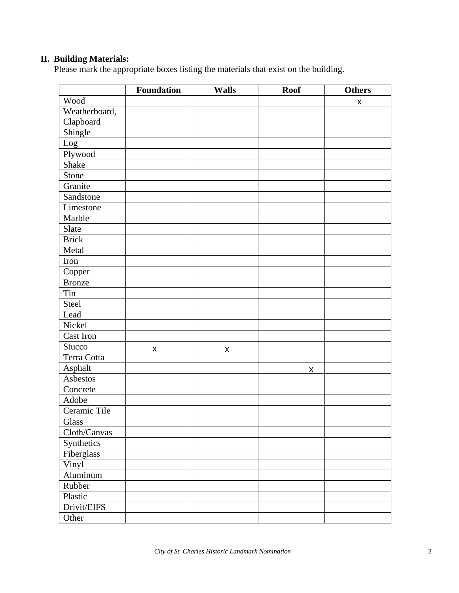## **II. Building Materials:**

Please mark the appropriate boxes listing the materials that exist on the building.

|               | <b>Foundation</b> | <b>Walls</b>            | <b>Roof</b> | <b>Others</b>      |
|---------------|-------------------|-------------------------|-------------|--------------------|
| Wood          |                   |                         |             | $\pmb{\mathsf{X}}$ |
| Weatherboard, |                   |                         |             |                    |
| Clapboard     |                   |                         |             |                    |
| Shingle       |                   |                         |             |                    |
| Log           |                   |                         |             |                    |
| Plywood       |                   |                         |             |                    |
| Shake         |                   |                         |             |                    |
| Stone         |                   |                         |             |                    |
| Granite       |                   |                         |             |                    |
| Sandstone     |                   |                         |             |                    |
| Limestone     |                   |                         |             |                    |
| Marble        |                   |                         |             |                    |
| Slate         |                   |                         |             |                    |
| <b>Brick</b>  |                   |                         |             |                    |
| Metal         |                   |                         |             |                    |
| Iron          |                   |                         |             |                    |
| Copper        |                   |                         |             |                    |
| <b>Bronze</b> |                   |                         |             |                    |
| Tin           |                   |                         |             |                    |
| Steel         |                   |                         |             |                    |
| Lead          |                   |                         |             |                    |
| Nickel        |                   |                         |             |                    |
| Cast Iron     |                   |                         |             |                    |
| Stucco        | $\overline{X}$    | $\overline{\mathsf{x}}$ |             |                    |
| Terra Cotta   |                   |                         |             |                    |
| Asphalt       |                   |                         | X           |                    |
| Asbestos      |                   |                         |             |                    |
| Concrete      |                   |                         |             |                    |
| Adobe         |                   |                         |             |                    |
| Ceramic Tile  |                   |                         |             |                    |
| Glass         |                   |                         |             |                    |
| Cloth/Canvas  |                   |                         |             |                    |
| Synthetics    |                   |                         |             |                    |
| Fiberglass    |                   |                         |             |                    |
| Vinyl         |                   |                         |             |                    |
| Aluminum      |                   |                         |             |                    |
| Rubber        |                   |                         |             |                    |
| Plastic       |                   |                         |             |                    |
| Drivit/EIFS   |                   |                         |             |                    |
| Other         |                   |                         |             |                    |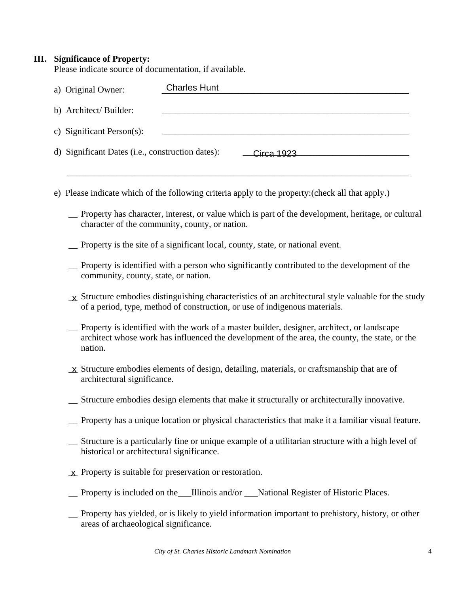### **III. Significance of Property:**

Please indicate source of documentation, if available.

| a) Original Owner:                               | <b>Charles Hunt</b> |
|--------------------------------------------------|---------------------|
| b) Architect/Builder:                            |                     |
| c) Significant Person(s):                        |                     |
| d) Significant Dates (i.e., construction dates): | Circa 1923          |
|                                                  |                     |

- e) Please indicate which of the following criteria apply to the property:(check all that apply.)
	- \_\_ Property has character, interest, or value which is part of the development, heritage, or cultural character of the community, county, or nation.
	- \_\_ Property is the site of a significant local, county, state, or national event.
	- \_\_ Property is identified with a person who significantly contributed to the development of the community, county, state, or nation.
	- $\pm \mathbf{x}$  Structure embodies distinguishing characteristics of an architectural style valuable for the study of a period, type, method of construction, or use of indigenous materials.
	- \_\_ Property is identified with the work of a master builder, designer, architect, or landscape architect whose work has influenced the development of the area, the county, the state, or the nation.
	- $\underline{\mathbf{x}}$  Structure embodies elements of design, detailing, materials, or craftsmanship that are of architectural significance.
	- \_\_ Structure embodies design elements that make it structurally or architecturally innovative.
	- \_\_ Property has a unique location or physical characteristics that make it a familiar visual feature.
	- \_\_ Structure is a particularly fine or unique example of a utilitarian structure with a high level of historical or architectural significance.
	- $\underline{\mathbf{x}}$  Property is suitable for preservation or restoration.
	- \_\_ Property is included on the\_\_\_Illinois and/or \_\_\_National Register of Historic Places.
	- \_\_ Property has yielded, or is likely to yield information important to prehistory, history, or other areas of archaeological significance.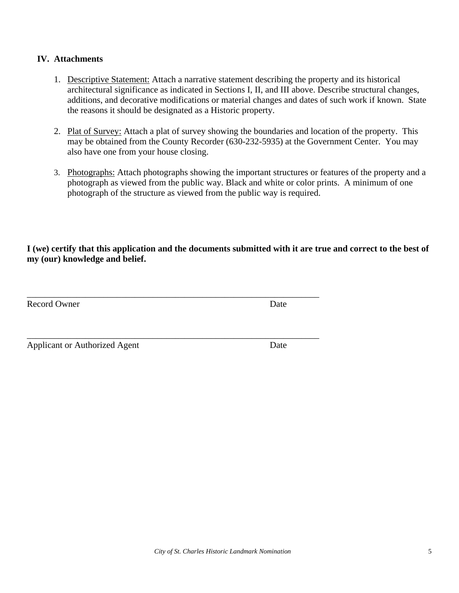## **IV. Attachments**

- 1. Descriptive Statement: Attach a narrative statement describing the property and its historical architectural significance as indicated in Sections I, II, and III above. Describe structural changes, additions, and decorative modifications or material changes and dates of such work if known. State the reasons it should be designated as a Historic property.
- 2. Plat of Survey: Attach a plat of survey showing the boundaries and location of the property. This may be obtained from the County Recorder (630-232-5935) at the Government Center. You may also have one from your house closing.
- 3. Photographs: Attach photographs showing the important structures or features of the property and a photograph as viewed from the public way. Black and white or color prints. A minimum of one photograph of the structure as viewed from the public way is required.

**I (we) certify that this application and the documents submitted with it are true and correct to the best of my (our) knowledge and belief.** 

| <b>Record Owner</b> | Date |
|---------------------|------|
|                     |      |
|                     |      |
|                     |      |

Applicant or Authorized Agent Date